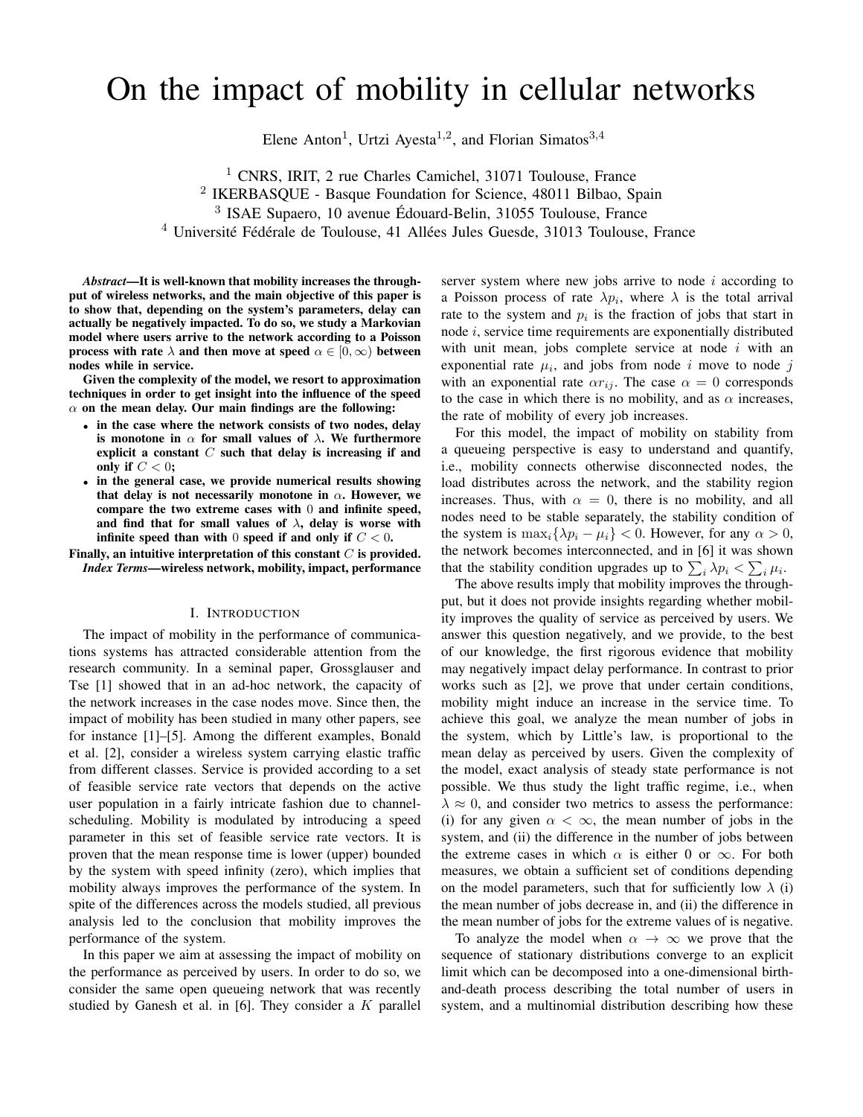# On the impact of mobility in cellular networks

Elene Anton<sup>1</sup>, Urtzi Ayesta<sup>1,2</sup>, and Florian Simatos<sup>3,4</sup>

<sup>1</sup> CNRS, IRIT, 2 rue Charles Camichel, 31071 Toulouse, France

<sup>2</sup> IKERBASQUE - Basque Foundation for Science, 48011 Bilbao, Spain

<sup>3</sup> ISAE Supaero, 10 avenue Édouard-Belin, 31055 Toulouse, France

 $<sup>4</sup>$  Université Fédérale de Toulouse, 41 Allées Jules Guesde, 31013 Toulouse, France</sup>

*Abstract*—It is well-known that mobility increases the throughput of wireless networks, and the main objective of this paper is to show that, depending on the system's parameters, delay can actually be negatively impacted. To do so, we study a Markovian model where users arrive to the network according to a Poisson process with rate  $\lambda$  and then move at speed  $\alpha \in [0,\infty)$  between nodes while in service.

Given the complexity of the model, we resort to approximation techniques in order to get insight into the influence of the speed  $\alpha$  on the mean delay. Our main findings are the following:

- in the case where the network consists of two nodes, delay is monotone in  $\alpha$  for small values of  $\lambda$ . We furthermore explicit a constant  $C$  such that delay is increasing if and only if  $C < 0$ ;
- in the general case, we provide numerical results showing that delay is not necessarily monotone in  $\alpha$ . However, we compare the two extreme cases with 0 and infinite speed, and find that for small values of  $\lambda$ , delay is worse with infinite speed than with 0 speed if and only if  $C < 0$ .
- Finally, an intuitive interpretation of this constant  $C$  is provided. *Index Terms*—wireless network, mobility, impact, performance

#### I. INTRODUCTION

The impact of mobility in the performance of communications systems has attracted considerable attention from the research community. In a seminal paper, Grossglauser and Tse [1] showed that in an ad-hoc network, the capacity of the network increases in the case nodes move. Since then, the impact of mobility has been studied in many other papers, see for instance [1]–[5]. Among the different examples, Bonald et al. [2], consider a wireless system carrying elastic traffic from different classes. Service is provided according to a set of feasible service rate vectors that depends on the active user population in a fairly intricate fashion due to channelscheduling. Mobility is modulated by introducing a speed parameter in this set of feasible service rate vectors. It is proven that the mean response time is lower (upper) bounded by the system with speed infinity (zero), which implies that mobility always improves the performance of the system. In spite of the differences across the models studied, all previous analysis led to the conclusion that mobility improves the performance of the system.

In this paper we aim at assessing the impact of mobility on the performance as perceived by users. In order to do so, we consider the same open queueing network that was recently studied by Ganesh et al. in [6]. They consider a  $K$  parallel

server system where new jobs arrive to node  $i$  according to a Poisson process of rate  $\lambda p_i$ , where  $\lambda$  is the total arrival rate to the system and  $p_i$  is the fraction of jobs that start in node i, service time requirements are exponentially distributed with unit mean, jobs complete service at node  $i$  with an exponential rate  $\mu_i$ , and jobs from node i move to node j with an exponential rate  $\alpha r_{ij}$ . The case  $\alpha = 0$  corresponds to the case in which there is no mobility, and as  $\alpha$  increases, the rate of mobility of every job increases.

For this model, the impact of mobility on stability from a queueing perspective is easy to understand and quantify, i.e., mobility connects otherwise disconnected nodes, the load distributes across the network, and the stability region increases. Thus, with  $\alpha = 0$ , there is no mobility, and all nodes need to be stable separately, the stability condition of the system is  $\max_i {\lambda p_i - \mu_i} < 0$ . However, for any  $\alpha > 0$ , the network becomes interconnected, and in [6] it was shown that the stability condition upgrades up to  $\sum_i \lambda p_i < \sum_i \mu_i$ .

The above results imply that mobility improves the throughput, but it does not provide insights regarding whether mobility improves the quality of service as perceived by users. We answer this question negatively, and we provide, to the best of our knowledge, the first rigorous evidence that mobility may negatively impact delay performance. In contrast to prior works such as [2], we prove that under certain conditions, mobility might induce an increase in the service time. To achieve this goal, we analyze the mean number of jobs in the system, which by Little's law, is proportional to the mean delay as perceived by users. Given the complexity of the model, exact analysis of steady state performance is not possible. We thus study the light traffic regime, i.e., when  $\lambda \approx 0$ , and consider two metrics to assess the performance: (i) for any given  $\alpha < \infty$ , the mean number of jobs in the system, and (ii) the difference in the number of jobs between the extreme cases in which  $\alpha$  is either 0 or  $\infty$ . For both measures, we obtain a sufficient set of conditions depending on the model parameters, such that for sufficiently low  $\lambda$  (i) the mean number of jobs decrease in, and (ii) the difference in the mean number of jobs for the extreme values of is negative.

To analyze the model when  $\alpha \to \infty$  we prove that the sequence of stationary distributions converge to an explicit limit which can be decomposed into a one-dimensional birthand-death process describing the total number of users in system, and a multinomial distribution describing how these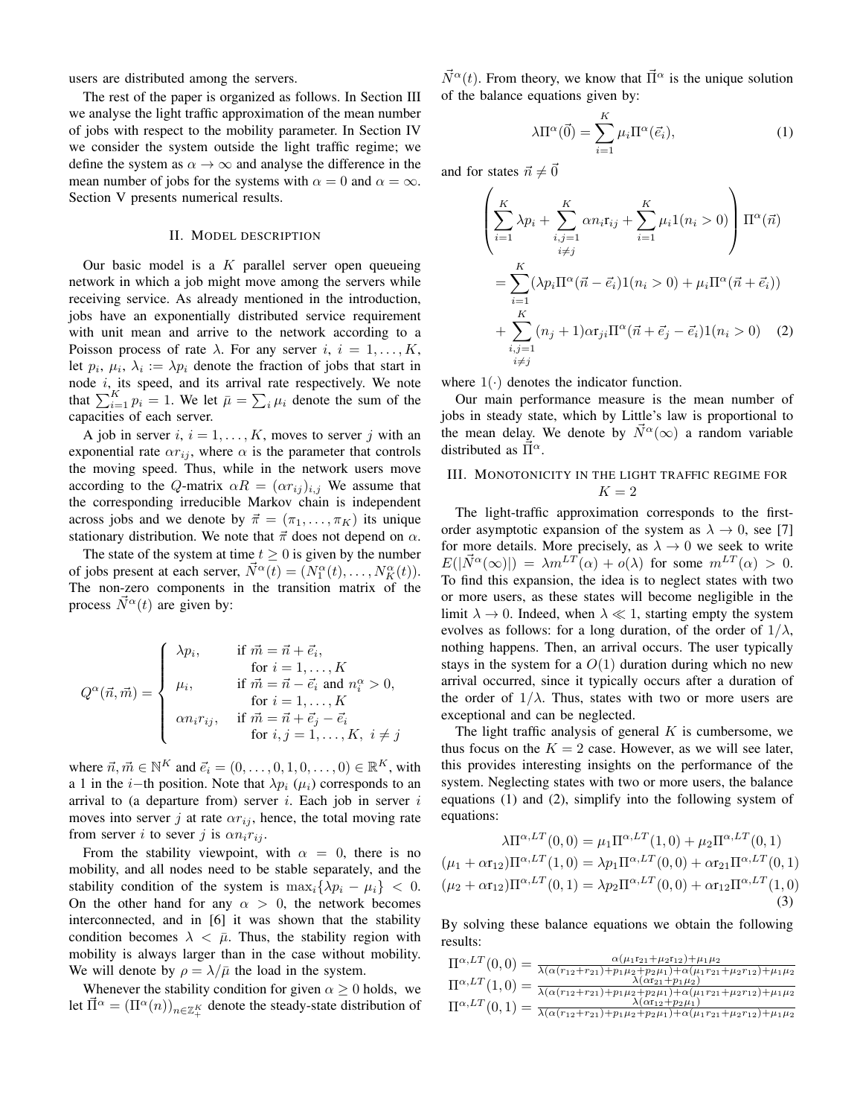users are distributed among the servers.

The rest of the paper is organized as follows. In Section III we analyse the light traffic approximation of the mean number of jobs with respect to the mobility parameter. In Section IV we consider the system outside the light traffic regime; we define the system as  $\alpha \rightarrow \infty$  and analyse the difference in the mean number of jobs for the systems with  $\alpha = 0$  and  $\alpha = \infty$ . Section V presents numerical results.

### II. MODEL DESCRIPTION

Our basic model is a  $K$  parallel server open queueing network in which a job might move among the servers while receiving service. As already mentioned in the introduction, jobs have an exponentially distributed service requirement with unit mean and arrive to the network according to a Poisson process of rate  $\lambda$ . For any server  $i, i = 1, \ldots, K$ , let  $p_i$ ,  $\mu_i$ ,  $\lambda_i := \lambda p_i$  denote the fraction of jobs that start in node i, its speed, and its arrival rate respectively. We note that  $\sum_{i=1}^{K} p_i = 1$ . We let  $\bar{\mu} = \sum_{i} \mu_i$  denote the sum of the capacities of each server.

A job in server i,  $i = 1, \ldots, K$ , moves to server j with an exponential rate  $\alpha r_{ij}$ , where  $\alpha$  is the parameter that controls the moving speed. Thus, while in the network users move according to the Q-matrix  $\alpha R = (\alpha r_{ij})_{i,j}$  We assume that the corresponding irreducible Markov chain is independent across jobs and we denote by  $\vec{\pi} = (\pi_1, \dots, \pi_K)$  its unique stationary distribution. We note that  $\vec{\pi}$  does not depend on  $\alpha$ .

The state of the system at time  $t > 0$  is given by the number of jobs present at each server,  $\vec{N}^{\alpha}(t) = (N_1^{\alpha}(t), \dots, N_K^{\alpha}(t)).$ The non-zero components in the transition matrix of the process  $\vec{N}^{\alpha}(t)$  are given by:

$$
Q^{\alpha}(\vec{n}, \vec{m}) = \begin{cases} \lambda p_i, & \text{if } \vec{m} = \vec{n} + \vec{e}_i, \\ & \text{for } i = 1, \dots, K \\ \mu_i, & \text{if } \vec{m} = \vec{n} - \vec{e}_i \text{ and } n_i^{\alpha} > 0, \\ & \text{for } i = 1, \dots, K \\ \alpha n_i r_{ij}, & \text{if } \vec{m} = \vec{n} + \vec{e}_j - \vec{e}_i \\ & \text{for } i, j = 1, \dots, K, \ i \neq j \end{cases}
$$

where  $\vec{n}, \vec{m} \in \mathbb{N}^K$  and  $\vec{e}_i = (0, \dots, 0, 1, 0, \dots, 0) \in \mathbb{R}^K$ , with a 1 in the *i*−th position. Note that  $\lambda p_i$  ( $\mu_i$ ) corresponds to an arrival to (a departure from) server  $i$ . Each job in server  $i$ moves into server j at rate  $\alpha r_{ij}$ , hence, the total moving rate from server i to sever j is  $\alpha n_i r_{ij}$ .

From the stability viewpoint, with  $\alpha = 0$ , there is no mobility, and all nodes need to be stable separately, and the stability condition of the system is  $\max_i {\lambda p_i - \mu_i} < 0$ . On the other hand for any  $\alpha > 0$ , the network becomes interconnected, and in [6] it was shown that the stability condition becomes  $\lambda < \bar{\mu}$ . Thus, the stability region with mobility is always larger than in the case without mobility. We will denote by  $\rho = \lambda / \bar{\mu}$  the load in the system.

Whenever the stability condition for given  $\alpha \geq 0$  holds, we let  $\vec{\Pi}^{\alpha} = (\Pi^{\alpha}(n))_{n \in \mathbb{Z}_{+}^{K}}$  denote the steady-state distribution of

 $\vec{N}^{\alpha}(t)$ . From theory, we know that  $\vec{\Pi}^{\alpha}$  is the unique solution of the balance equations given by:

$$
\lambda \Pi^{\alpha}(\vec{0}) = \sum_{i=1}^{K} \mu_i \Pi^{\alpha}(\vec{e}_i), \tag{1}
$$

and for states  $\vec{n} \neq \vec{0}$ 

$$
\left(\sum_{i=1}^{K} \lambda p_i + \sum_{i,j=1}^{K} \alpha n_i \mathbf{r}_{ij} + \sum_{i=1}^{K} \mu_i 1(n_i > 0)\right) \Pi^{\alpha}(\vec{n})
$$
  
= 
$$
\sum_{i=1}^{K} (\lambda p_i \Pi^{\alpha}(\vec{n} - \vec{e}_i) 1(n_i > 0) + \mu_i \Pi^{\alpha}(\vec{n} + \vec{e}_i))
$$
  
+ 
$$
\sum_{i,j=1}^{K} (n_j + 1) \alpha \mathbf{r}_{ji} \Pi^{\alpha}(\vec{n} + \vec{e}_j - \vec{e}_i) 1(n_i > 0)
$$
 (2)

where  $1(\cdot)$  denotes the indicator function.

Our main performance measure is the mean number of jobs in steady state, which by Little's law is proportional to the mean delay. We denote by  $\vec{N}^{\alpha}(\infty)$  a random variable distributed as  $\Pi^{\alpha}$ .

## III. MONOTONICITY IN THE LIGHT TRAFFIC REGIME FOR  $K = 2$

The light-traffic approximation corresponds to the firstorder asymptotic expansion of the system as  $\lambda \to 0$ , see [7] for more details. More precisely, as  $\lambda \to 0$  we seek to write  $E(|\vec{N}^{\alpha}(\infty)|) = \lambda m^{LT}(\alpha) + o(\lambda)$  for some  $m^{LT}(\alpha) > 0$ . To find this expansion, the idea is to neglect states with two or more users, as these states will become negligible in the limit  $\lambda \to 0$ . Indeed, when  $\lambda \ll 1$ , starting empty the system evolves as follows: for a long duration, of the order of  $1/\lambda$ , nothing happens. Then, an arrival occurs. The user typically stays in the system for a  $O(1)$  duration during which no new arrival occurred, since it typically occurs after a duration of the order of  $1/\lambda$ . Thus, states with two or more users are exceptional and can be neglected.

The light traffic analysis of general  $K$  is cumbersome, we thus focus on the  $K = 2$  case. However, as we will see later, this provides interesting insights on the performance of the system. Neglecting states with two or more users, the balance equations (1) and (2), simplify into the following system of equations:

$$
\lambda \Pi^{\alpha,LT}(0,0) = \mu_1 \Pi^{\alpha,LT}(1,0) + \mu_2 \Pi^{\alpha,LT}(0,1)
$$
  

$$
(\mu_1 + \alpha r_{12}) \Pi^{\alpha,LT}(1,0) = \lambda p_1 \Pi^{\alpha,LT}(0,0) + \alpha r_{21} \Pi^{\alpha,LT}(0,1)
$$
  

$$
(\mu_2 + \alpha r_{12}) \Pi^{\alpha,LT}(0,1) = \lambda p_2 \Pi^{\alpha,LT}(0,0) + \alpha r_{12} \Pi^{\alpha,LT}(1,0)
$$
  
(3)

By solving these balance equations we obtain the following results:

|  | $\alpha(\mu_1r_{21}+\mu_2r_{12})+\mu_1\mu_2$                                                                                                                                                                                 |
|--|------------------------------------------------------------------------------------------------------------------------------------------------------------------------------------------------------------------------------|
|  | $\Pi^{\alpha,LT}(0,0)=\frac{\Delta_{(r_1r_2r_3+r_4+r_5+r_6+r_7)}\Delta_{(\mu_1r_2r_1+\mu_2r_1)}\Delta_{(\mu_1r_2r_1+\mu_2r_1)}\Delta_{(\mu_1r_2r_1+\mu_2r_1)}\Delta_{(\mu_1r_2r_1+\mu_2r_1)}\Delta_{(\mu_1r_2r_1+\mu_2r_1)}$ |
|  |                                                                                                                                                                                                                              |
|  |                                                                                                                                                                                                                              |
|  |                                                                                                                                                                                                                              |
|  | $\Pi^{\alpha,LT}(0,1) = \frac{1}{\lambda(\alpha(r_{12}+r_{21})+p_1\mu_2+p_2\mu_1)+\alpha(\mu_1r_{21}+\mu_2r_{12})+\mu_1\mu_2}$                                                                                               |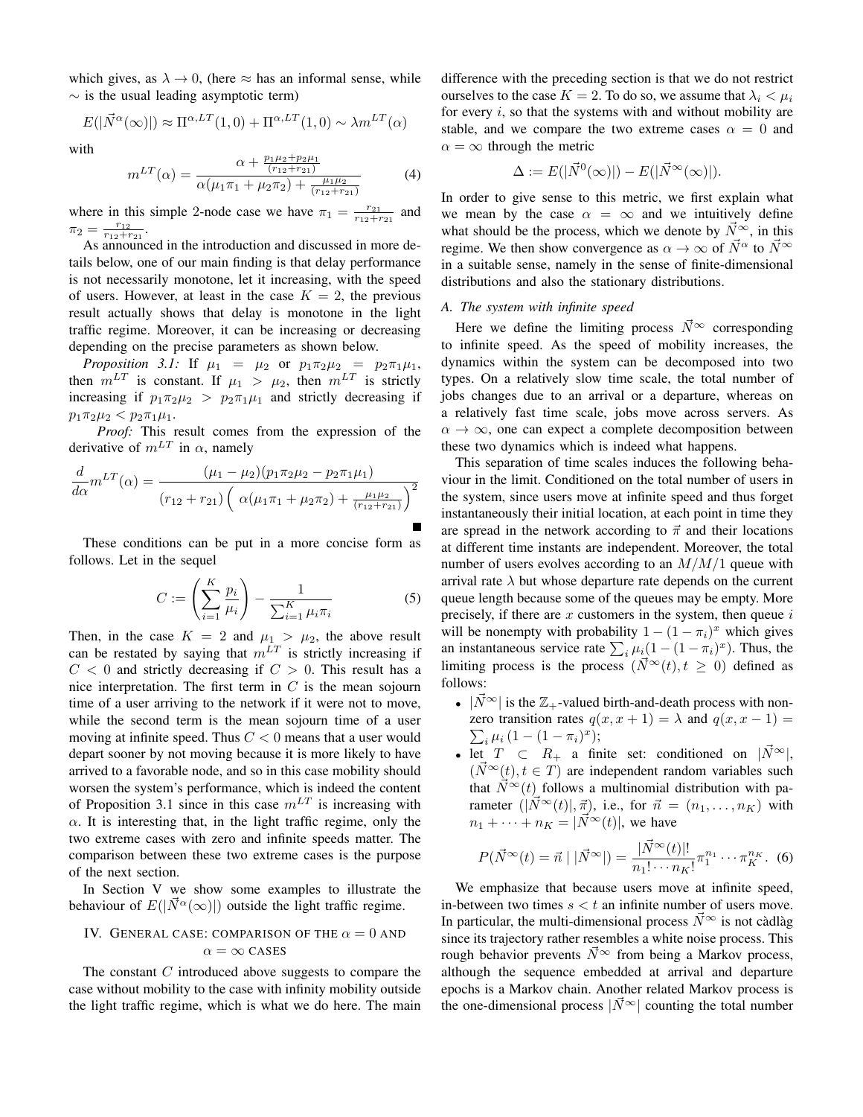which gives, as  $\lambda \to 0$ , (here  $\approx$  has an informal sense, while  $\sim$  is the usual leading asymptotic term)

$$
E(|\vec{N}^{\alpha}(\infty)|) \approx \Pi^{\alpha,LT}(1,0) + \Pi^{\alpha,LT}(1,0) \sim \lambda m^{LT}(\alpha)
$$

with

$$
m^{LT}(\alpha) = \frac{\alpha + \frac{p_1 \mu_2 + p_2 \mu_1}{(r_{12} + r_{21})}}{\alpha(\mu_1 \pi_1 + \mu_2 \pi_2) + \frac{\mu_1 \mu_2}{(r_{12} + r_{21})}}
$$
(4)

where in this simple 2-node case we have  $\pi_1 = \frac{r_{21}}{r_{12} + r_{21}}$  and  $\pi_2 = \frac{r_{12}}{r_{12} + r_{21}}.$ 

As announced in the introduction and discussed in more details below, one of our main finding is that delay performance is not necessarily monotone, let it increasing, with the speed of users. However, at least in the case  $K = 2$ , the previous result actually shows that delay is monotone in the light traffic regime. Moreover, it can be increasing or decreasing depending on the precise parameters as shown below.

*Proposition 3.1:* If  $\mu_1 = \mu_2$  or  $p_1 \pi_2 \mu_2 = p_2 \pi_1 \mu_1$ , then  $m^{LT}$  is constant. If  $\mu_1 > \mu_2$ , then  $m^{LT}$  is strictly increasing if  $p_1 \pi_2 \mu_2 > p_2 \pi_1 \mu_1$  and strictly decreasing if  $p_1 \pi_2 \mu_2 < p_2 \pi_1 \mu_1$ .

*Proof:* This result comes from the expression of the derivative of  $m^{LT}$  in  $\alpha$ , namely

$$
\frac{d}{d\alpha}m^{LT}(\alpha) = \frac{(\mu_1 - \mu_2)(p_1\pi_2\mu_2 - p_2\pi_1\mu_1)}{(r_{12} + r_{21})\left(\alpha(\mu_1\pi_1 + \mu_2\pi_2) + \frac{\mu_1\mu_2}{(r_{12} + r_{21})}\right)^2}
$$

These conditions can be put in a more concise form as follows. Let in the sequel

$$
C := \left(\sum_{i=1}^{K} \frac{p_i}{\mu_i}\right) - \frac{1}{\sum_{i=1}^{K} \mu_i \pi_i} \tag{5}
$$

Then, in the case  $K = 2$  and  $\mu_1 > \mu_2$ , the above result can be restated by saying that  $m^{LT}$  is strictly increasing if  $C < 0$  and strictly decreasing if  $C > 0$ . This result has a nice interpretation. The first term in  $C$  is the mean sojourn time of a user arriving to the network if it were not to move, while the second term is the mean sojourn time of a user moving at infinite speed. Thus  $C < 0$  means that a user would depart sooner by not moving because it is more likely to have arrived to a favorable node, and so in this case mobility should worsen the system's performance, which is indeed the content of Proposition 3.1 since in this case  $m<sup>LT</sup>$  is increasing with  $\alpha$ . It is interesting that, in the light traffic regime, only the two extreme cases with zero and infinite speeds matter. The comparison between these two extreme cases is the purpose of the next section.

In Section V we show some examples to illustrate the behaviour of  $E(|\vec{N}^{\alpha}(\infty)|)$  outside the light traffic regime.

## IV. GENERAL CASE: COMPARISON OF THE  $\alpha = 0$  AND  $\alpha = \infty$  CASES

The constant C introduced above suggests to compare the case without mobility to the case with infinity mobility outside the light traffic regime, which is what we do here. The main difference with the preceding section is that we do not restrict ourselves to the case  $K = 2$ . To do so, we assume that  $\lambda_i < \mu_i$ for every  $i$ , so that the systems with and without mobility are stable, and we compare the two extreme cases  $\alpha = 0$  and  $\alpha = \infty$  through the metric

$$
\Delta := E(|\vec{N}^{0}(\infty)|) - E(|\vec{N}^{\infty}(\infty)|).
$$

In order to give sense to this metric, we first explain what we mean by the case  $\alpha = \infty$  and we intuitively define what should be the process, which we denote by  $\vec{N}^{\infty}$ , in this regime. We then show convergence as  $\alpha \to \infty$  of  $\vec{N}^{\alpha}$  to  $\vec{N}^{\infty}$ in a suitable sense, namely in the sense of finite-dimensional distributions and also the stationary distributions.

## *A. The system with infinite speed*

Here we define the limiting process  $\vec{N}^{\infty}$  corresponding to infinite speed. As the speed of mobility increases, the dynamics within the system can be decomposed into two types. On a relatively slow time scale, the total number of jobs changes due to an arrival or a departure, whereas on a relatively fast time scale, jobs move across servers. As  $\alpha \rightarrow \infty$ , one can expect a complete decomposition between these two dynamics which is indeed what happens.

This separation of time scales induces the following behaviour in the limit. Conditioned on the total number of users in the system, since users move at infinite speed and thus forget instantaneously their initial location, at each point in time they are spread in the network according to  $\vec{\pi}$  and their locations at different time instants are independent. Moreover, the total number of users evolves according to an  $M/M/1$  queue with arrival rate  $\lambda$  but whose departure rate depends on the current queue length because some of the queues may be empty. More precisely, if there are  $x$  customers in the system, then queue  $i$ will be nonempty with probability  $1 - (1 - \pi_i)^x$  which gives an instantaneous service rate  $\sum_{i} \mu_i (1 - (1 - \pi_i)^x)$ . Thus, the limiting process is the process  $(\vec{N}^{\infty}(t), t \geq 0)$  defined as follows:

- $|\vec{N}^{\infty}|$  is the  $\mathbb{Z}_{+}$ -valued birth-and-death process with nonzero transition rates  $q(x, x + 1) = \lambda$  and  $q(x, x - 1) =$  $\sum_i \mu_i (1 - (1 - \pi_i)^x);$
- let  $T \subset R_+$  a finite set: conditioned on  $|\vec{N}^{\infty}|$ ,  $(\vec{N}^{\infty}(t), t \in T)$  are independent random variables such that  $\vec{N}^{\infty}(t)$  follows a multinomial distribution with parameter  $(|\vec{N}^{\infty}(t)|, \vec{\pi})$ , i.e., for  $\vec{n} = (n_1, \dots, n_K)$  with  $n_1 + \cdots + n_K = |\vec{N}^{\infty}(t)|$ , we have

$$
P(\vec{N}^{\infty}(t) = \vec{n} \mid |\vec{N}^{\infty}|) = \frac{|\vec{N}^{\infty}(t)|!}{n_1! \cdots n_K!} \pi_1^{n_1} \cdots \pi_K^{n_K}.
$$
 (6)

We emphasize that because users move at infinite speed, in-between two times  $s < t$  an infinite number of users move. In particular, the multi-dimensional process  $\bar{N}^{\infty}$  is not càdlàg since its trajectory rather resembles a white noise process. This rough behavior prevents  $\vec{N}^{\infty}$  from being a Markov process, although the sequence embedded at arrival and departure epochs is a Markov chain. Another related Markov process is the one-dimensional process  $|\vec{N}^{\infty}|$  counting the total number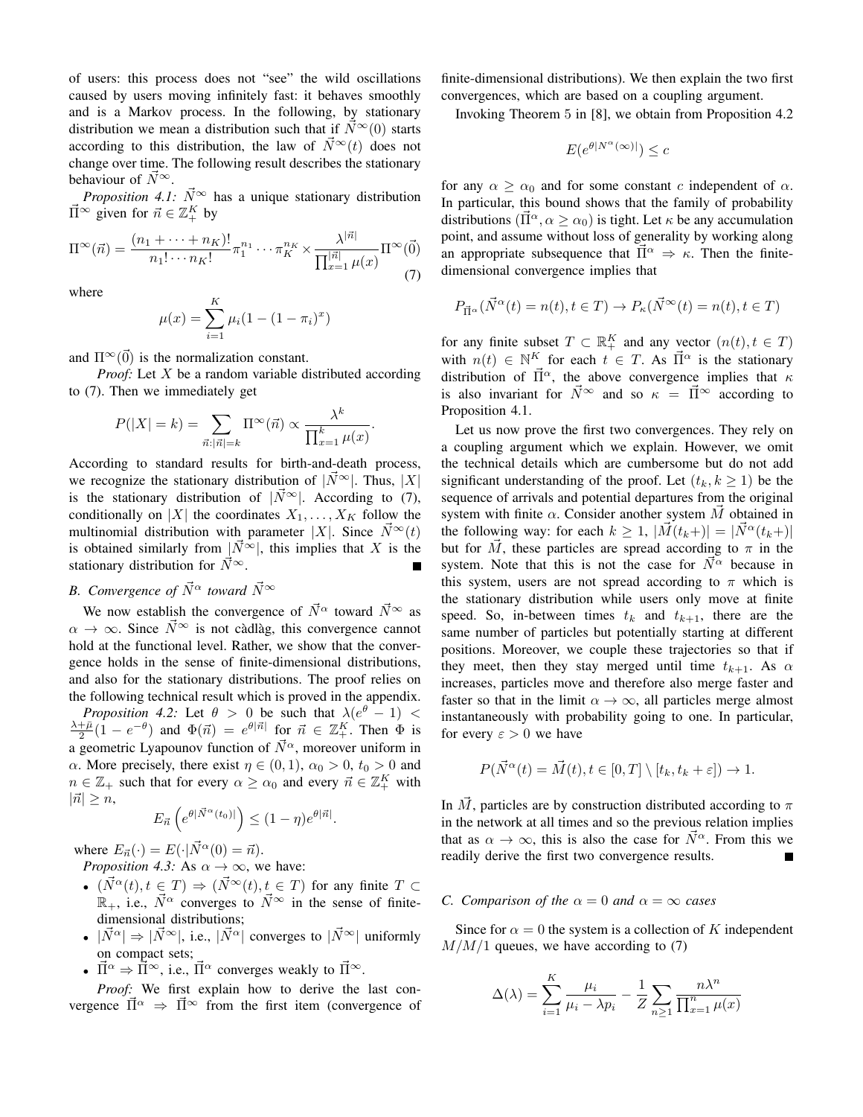of users: this process does not "see" the wild oscillations caused by users moving infinitely fast: it behaves smoothly and is a Markov process. In the following, by stationary distribution we mean a distribution such that if  $\vec{N}^{\infty}(0)$  starts according to this distribution, the law of  $\vec{N}^{\infty}(t)$  does not change over time. The following result describes the stationary behaviour of  $\vec{N}^{\infty}$ .

*Proposition 4.1:*  $\vec{N}^{\infty}$  has a unique stationary distribution  $\vec{\Pi}^{\infty}$  given for  $\vec{n} \in \mathbb{Z}_{+}^{K}$  by

$$
\Pi^{\infty}(\vec{n}) = \frac{(n_1 + \dots + n_K)!}{n_1! \cdots n_K!} \pi_1^{n_1} \cdots \pi_K^{n_K} \times \frac{\lambda^{|\vec{n}|}}{\prod_{x=1}^{|\vec{n}|} \mu(x)} \Pi^{\infty}(\vec{0})
$$
\n(7)

where

$$
\mu(x) = \sum_{i=1}^{K} \mu_i (1 - (1 - \pi_i)^x)
$$

and  $\Pi^{\infty}(\vec{0})$  is the normalization constant.

*Proof:* Let X be a random variable distributed according to (7). Then we immediately get

$$
P(|X| = k) = \sum_{\vec{n} : |\vec{n}| = k} \Pi^{\infty}(\vec{n}) \propto \frac{\lambda^k}{\prod_{x=1}^k \mu(x)}.
$$

According to standard results for birth-and-death process, we recognize the stationary distribution of  $|\vec{N}^{\infty}|$ . Thus,  $|X|$ is the stationary distribution of  $|\vec{N}^{\infty}|$ . According to (7), conditionally on |X| the coordinates  $X_1, \ldots, X_K$  follow the multinomial distribution with parameter |X|. Since  $N^{\infty}(t)$ is obtained similarly from  $|\vec{N}^{\infty}|$ , this implies that X is the stationary distribution for  $\vec{N}^{\infty}$ .

## *B.* Convergence of  $\vec{N}^{\alpha}$  toward  $\vec{N}^{\infty}$

We now establish the convergence of  $\vec{N}^{\alpha}$  toward  $\vec{N}^{\infty}$  as  $\alpha \to \infty$ . Since  $\vec{N}^{\infty}$  is not càdlàg, this convergence cannot hold at the functional level. Rather, we show that the convergence holds in the sense of finite-dimensional distributions, and also for the stationary distributions. The proof relies on the following technical result which is proved in the appendix.

*Proposition 4.2:* Let  $\theta > 0$  be such that  $\lambda(e^{\theta} - 1) < \frac{\lambda + \bar{\mu}}{2}(1 - e^{-\theta})$  and  $\Phi(\vec{n}) = e^{\theta |\vec{n}|}$  for  $\vec{n} \in \mathbb{Z}_{+}^{K}$ . Then  $\Phi$  is a geometric Lyapounov function of  $\vec{N}^{\alpha}$ , moreover uniform in  $\alpha$ . More precisely, there exist  $\eta \in (0,1)$ ,  $\alpha_0 > 0$ ,  $t_0 > 0$  and  $n \in \mathbb{Z}_+$  such that for every  $\alpha \ge \alpha_0$  and every  $\vec{n} \in \mathbb{Z}_+^K$  with  $|\vec{n}| \geq n$ ,

$$
E_{\vec{n}}\left(e^{\theta|\vec{N}^{\alpha}(t_0)|}\right) \leq (1-\eta)e^{\theta|\vec{n}|}.
$$

where  $E_{\vec{n}}(\cdot) = E(\cdot | \vec{N}^{\alpha}(0) = \vec{n}).$ 

*Proposition 4.3:* As  $\alpha \to \infty$ , we have:

- $(\vec{N}^{\alpha}(t), t \in T) \Rightarrow (\vec{N}^{\infty}(t), t \in T)$  for any finite  $T \subset$  $\mathbb{R}_+$ , i.e.,  $\overrightarrow{N}^{\alpha}$  converges to  $\overrightarrow{N}^{\infty}$  in the sense of finitedimensional distributions;
- $|\vec{N}^{\alpha}| \Rightarrow |\vec{N}^{\infty}|$ , i.e.,  $|\vec{N}^{\alpha}|$  converges to  $|\vec{N}^{\infty}|$  uniformly on compact sets;
- $\vec{\Pi}^{\alpha} \Rightarrow \vec{\Pi}^{\infty}$ , i.e.,  $\vec{\Pi}^{\alpha}$  converges weakly to  $\vec{\Pi}^{\infty}$ .

*Proof:* We first explain how to derive the last convergence  $\vec{\Pi}^{\alpha} \Rightarrow \vec{\Pi}^{\infty}$  from the first item (convergence of finite-dimensional distributions). We then explain the two first convergences, which are based on a coupling argument.

Invoking Theorem 5 in [8], we obtain from Proposition 4.2

$$
E(e^{\theta|N^{\alpha}(\infty)|}) \leq c
$$

for any  $\alpha \ge \alpha_0$  and for some constant c independent of  $\alpha$ . In particular, this bound shows that the family of probability distributions ( $\overline{\Pi}^{\alpha}$ ,  $\alpha > \alpha_0$ ) is tight. Let  $\kappa$  be any accumulation point, and assume without loss of generality by working along an appropriate subsequence that  $\Pi^{\alpha} \Rightarrow \kappa$ . Then the finitedimensional convergence implies that

$$
P_{\vec{\Pi}^{\alpha}}(\vec{N}^{\alpha}(t) = n(t), t \in T) \to P_{\kappa}(\vec{N}^{\infty}(t) = n(t), t \in T)
$$

for any finite subset  $T \subset \mathbb{R}_+^K$  and any vector  $(n(t), t \in T)$ with  $n(t) \in \mathbb{N}^K$  for each  $t \in T$ . As  $\vec{\Pi}^{\alpha}$  is the stationary distribution of  $\vec{\Pi}^{\alpha}$ , the above convergence implies that  $\kappa$ is also invariant for  $\vec{N}^{\infty}$  and so  $\kappa = \vec{\Pi}^{\infty}$  according to Proposition 4.1.

Let us now prove the first two convergences. They rely on a coupling argument which we explain. However, we omit the technical details which are cumbersome but do not add significant understanding of the proof. Let  $(t_k, k \ge 1)$  be the sequence of arrivals and potential departures from the original system with finite  $\alpha$ . Consider another system  $\vec{M}$  obtained in the following way: for each  $k \geq 1$ ,  $|\vec{M}(t_k+)| = |\vec{N}^{\alpha}(t_k+)|$ but for  $\vec{M}$ , these particles are spread according to  $\pi$  in the system. Note that this is not the case for  $\vec{N}^{\alpha}$  because in this system, users are not spread according to  $\pi$  which is the stationary distribution while users only move at finite speed. So, in-between times  $t_k$  and  $t_{k+1}$ , there are the same number of particles but potentially starting at different positions. Moreover, we couple these trajectories so that if they meet, then they stay merged until time  $t_{k+1}$ . As  $\alpha$ increases, particles move and therefore also merge faster and faster so that in the limit  $\alpha \to \infty$ , all particles merge almost instantaneously with probability going to one. In particular, for every  $\varepsilon > 0$  we have

$$
P(\vec{N}^{\alpha}(t) = \vec{M}(t), t \in [0, T] \setminus [t_k, t_k + \varepsilon]) \to 1.
$$

In  $\vec{M}$ , particles are by construction distributed according to  $\pi$ in the network at all times and so the previous relation implies that as  $\alpha \to \infty$ , this is also the case for  $\vec{N}^{\alpha}$ . From this we readily derive the first two convergence results.

### *C. Comparison of the*  $\alpha = 0$  *and*  $\alpha = \infty$  *cases*

Since for  $\alpha = 0$  the system is a collection of K independent  $M/M/1$  queues, we have according to (7)

$$
\Delta(\lambda) = \sum_{i=1}^{K} \frac{\mu_i}{\mu_i - \lambda p_i} - \frac{1}{Z} \sum_{n \ge 1} \frac{n \lambda^n}{\prod_{x=1}^n \mu(x)}
$$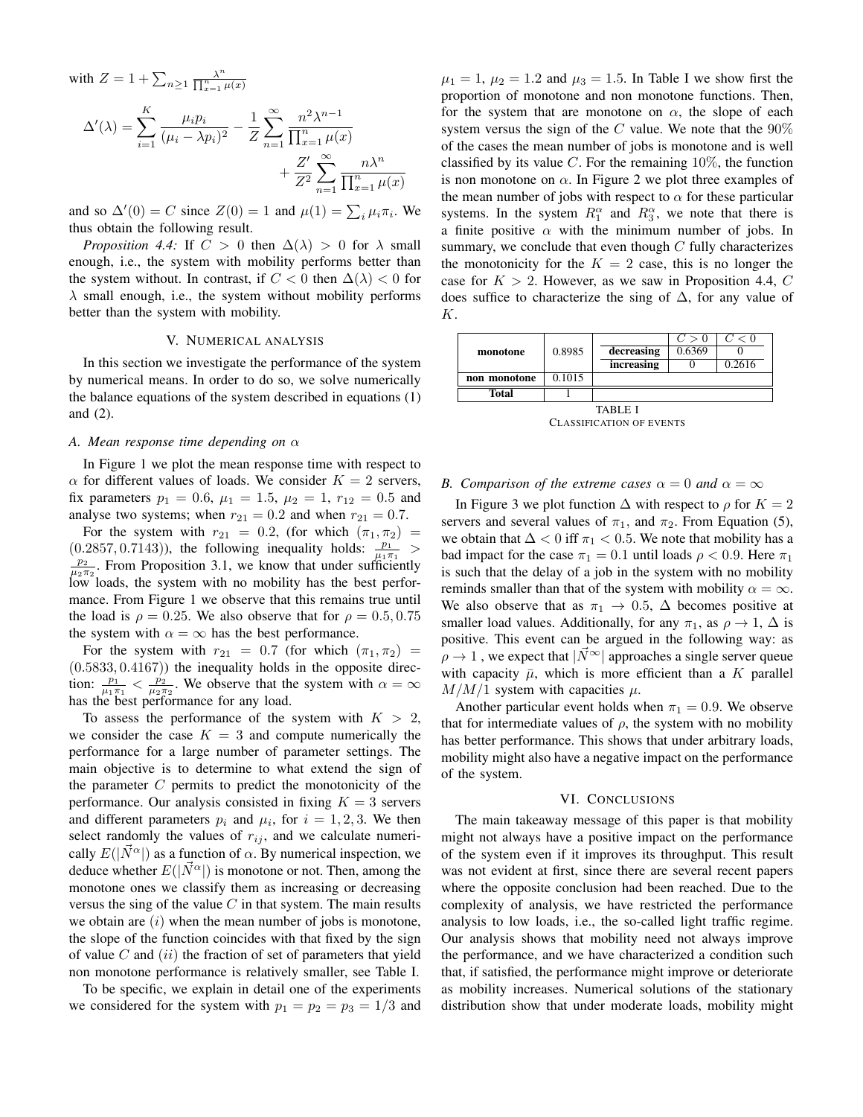with  $Z = 1 + \sum_{n \geq 1} \frac{\lambda^n}{\prod_{x=1}^n \mu(x)}$ 

$$
\Delta'(\lambda) = \sum_{i=1}^{K} \frac{\mu_i p_i}{(\mu_i - \lambda p_i)^2} - \frac{1}{Z} \sum_{n=1}^{\infty} \frac{n^2 \lambda^{n-1}}{\prod_{x=1}^{n} \mu(x)} + \frac{Z'}{Z^2} \sum_{n=1}^{\infty} \frac{n \lambda^n}{\prod_{x=1}^{n} \mu(x)}
$$

and so  $\Delta'(0) = C$  since  $Z(0) = 1$  and  $\mu(1) = \sum_i \mu_i \pi_i$ . We thus obtain the following result.

*Proposition 4.4:* If  $C > 0$  then  $\Delta(\lambda) > 0$  for  $\lambda$  small enough, i.e., the system with mobility performs better than the system without. In contrast, if  $C < 0$  then  $\Delta(\lambda) < 0$  for  $\lambda$  small enough, i.e., the system without mobility performs better than the system with mobility.

## V. NUMERICAL ANALYSIS

In this section we investigate the performance of the system by numerical means. In order to do so, we solve numerically the balance equations of the system described in equations (1) and (2).

#### *A. Mean response time depending on* α

In Figure 1 we plot the mean response time with respect to  $\alpha$  for different values of loads. We consider  $K = 2$  servers, fix parameters  $p_1 = 0.6$ ,  $\mu_1 = 1.5$ ,  $\mu_2 = 1$ ,  $r_{12} = 0.5$  and analyse two systems; when  $r_{21} = 0.2$  and when  $r_{21} = 0.7$ .

For the system with  $r_{21} = 0.2$ , (for which  $(\pi_1, \pi_2)$  =  $(0.2857, 0.7143)$ , the following inequality holds:  $\frac{p_1}{\mu_1 \pi_1} > \frac{p_2}{\mu_2 \pi_2}$ . From Proposition 3.1, we know that under sufficiently low loads, the system with no mobility has the best performance. From Figure 1 we observe that this remains true until the load is  $\rho = 0.25$ . We also observe that for  $\rho = 0.5, 0.75$ the system with  $\alpha = \infty$  has the best performance.

For the system with  $r_{21} = 0.7$  (for which  $(\pi_1, \pi_2)$ ) (0.5833, 0.4167)) the inequality holds in the opposite direction:  $\frac{p_1}{\mu_1 \pi_1} < \frac{p_2}{\mu_2 \pi_2}$ . We observe that the system with  $\alpha = \infty$ has the best performance for any load.

To assess the performance of the system with  $K > 2$ , we consider the case  $K = 3$  and compute numerically the performance for a large number of parameter settings. The main objective is to determine to what extend the sign of the parameter  $C$  permits to predict the monotonicity of the performance. Our analysis consisted in fixing  $K = 3$  servers and different parameters  $p_i$  and  $\mu_i$ , for  $i = 1, 2, 3$ . We then select randomly the values of  $r_{ij}$ , and we calculate numerically  $E(|\vec{N}^{\alpha}|)$  as a function of  $\alpha$ . By numerical inspection, we deduce whether  $E(|\vec{N}^{\alpha}|)$  is monotone or not. Then, among the monotone ones we classify them as increasing or decreasing versus the sing of the value  $C$  in that system. The main results we obtain are  $(i)$  when the mean number of jobs is monotone, the slope of the function coincides with that fixed by the sign of value  $C$  and  $(ii)$  the fraction of set of parameters that yield non monotone performance is relatively smaller, see Table I.

To be specific, we explain in detail one of the experiments we considered for the system with  $p_1 = p_2 = p_3 = 1/3$  and  $\mu_1 = 1$ ,  $\mu_2 = 1.2$  and  $\mu_3 = 1.5$ . In Table I we show first the proportion of monotone and non monotone functions. Then, for the system that are monotone on  $\alpha$ , the slope of each system versus the sign of the  $C$  value. We note that the  $90\%$ of the cases the mean number of jobs is monotone and is well classified by its value  $C$ . For the remaining  $10\%$ , the function is non monotone on  $\alpha$ . In Figure 2 we plot three examples of the mean number of jobs with respect to  $\alpha$  for these particular systems. In the system  $R_1^{\alpha}$  and  $R_3^{\alpha}$ , we note that there is a finite positive  $\alpha$  with the minimum number of jobs. In summary, we conclude that even though  $C$  fully characterizes the monotonicity for the  $K = 2$  case, this is no longer the case for  $K > 2$ . However, as we saw in Proposition 4.4, C does suffice to characterize the sing of  $\Delta$ , for any value of K.

|              |        |            | C>0    | C < 0  |
|--------------|--------|------------|--------|--------|
| monotone     | 0.8985 | decreasing | 0.6369 |        |
|              |        | increasing |        | 0.2616 |
| non monotone | 0.1015 |            |        |        |
| Total        |        |            |        |        |

TABLE I CLASSIFICATION OF EVENTS

#### *B. Comparison of the extreme cases*  $\alpha = 0$  *and*  $\alpha = \infty$

In Figure 3 we plot function  $\Delta$  with respect to  $\rho$  for  $K = 2$ servers and several values of  $\pi_1$ , and  $\pi_2$ . From Equation (5), we obtain that  $\Delta$  < 0 iff  $\pi_1$  < 0.5. We note that mobility has a bad impact for the case  $\pi_1 = 0.1$  until loads  $\rho < 0.9$ . Here  $\pi_1$ is such that the delay of a job in the system with no mobility reminds smaller than that of the system with mobility  $\alpha = \infty$ . We also observe that as  $\pi_1 \rightarrow 0.5$ ,  $\Delta$  becomes positive at smaller load values. Additionally, for any  $\pi_1$ , as  $\rho \to 1$ ,  $\Delta$  is positive. This event can be argued in the following way: as  $\rho \rightarrow 1$ , we expect that  $|\vec{N}^{\infty}|$  approaches a single server queue with capacity  $\bar{\mu}$ , which is more efficient than a K parallel  $M/M/1$  system with capacities  $\mu$ .

Another particular event holds when  $\pi_1 = 0.9$ . We observe that for intermediate values of  $\rho$ , the system with no mobility has better performance. This shows that under arbitrary loads, mobility might also have a negative impact on the performance of the system.

#### VI. CONCLUSIONS

The main takeaway message of this paper is that mobility might not always have a positive impact on the performance of the system even if it improves its throughput. This result was not evident at first, since there are several recent papers where the opposite conclusion had been reached. Due to the complexity of analysis, we have restricted the performance analysis to low loads, i.e., the so-called light traffic regime. Our analysis shows that mobility need not always improve the performance, and we have characterized a condition such that, if satisfied, the performance might improve or deteriorate as mobility increases. Numerical solutions of the stationary distribution show that under moderate loads, mobility might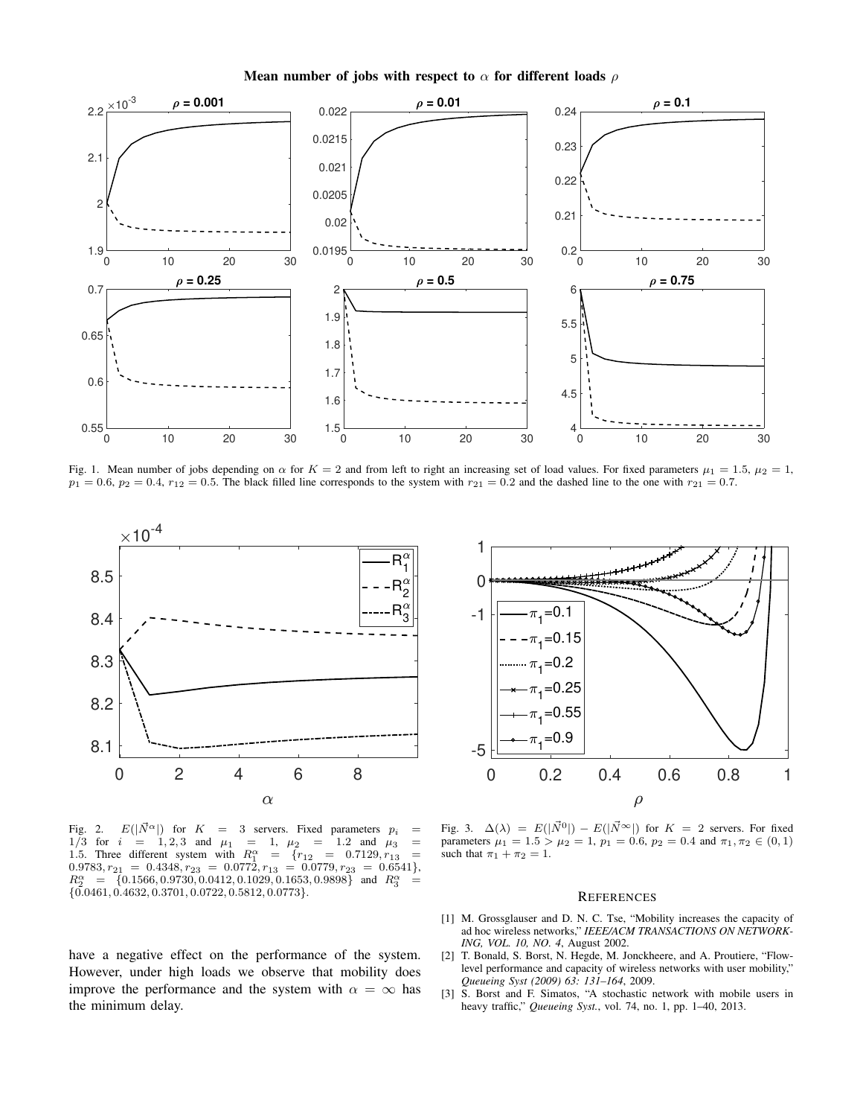

Mean number of jobs with respect to  $\alpha$  for different loads  $\rho$ 

Fig. 1. Mean number of jobs depending on  $\alpha$  for  $K = 2$  and from left to right an increasing set of load values. For fixed parameters  $\mu_1 = 1.5$ ,  $\mu_2 = 1$ ,  $p_1 = 0.6$ ,  $p_2 = 0.4$ ,  $r_{12} = 0.5$ . The black filled line corresponds to the system with  $r_{21} = 0.2$  and the dashed line to the one with  $r_{21} = 0.7$ .



Fig. 2.  $E(|\vec{N}^{\alpha}|)$  for  $K = 3$  servers. Fixed parameters  $p_i =$  $1/3$  for  $i = 1, 2, 3$  and  $\mu_1 = 1$ ,  $\mu_2 = 1.2$  and  $\mu_3 =$ 1.5. Three different system with  $R_1^{\alpha}$  $=$  { $r_{12}$  = 0.7129,  $r_{13}$  =  $0.9783, r_{21} = 0.4348, r_{23} = 0.0772, r_{13} = 0.0779, r_{23} = 0.6541$  $R_2^{\alpha}$  = {0.1566, 0.9730, 0.0412, 0.1029, 0.1653, 0.9898} and  $R_3^{\alpha}$  =  $\{0.0461, 0.4632, 0.3701, 0.0722, 0.5812, 0.0773\}.$ 



Fig. 3.  $\Delta(\lambda) = E(|\vec{N}^0|) - E(|\vec{N}^{\infty}|)$  for  $K = 2$  servers. For fixed parameters  $\mu_1 = 1.5 > \mu_2 = 1$ ,  $\mu_1 = 0.6$ ,  $p_2 = 0.4$  and  $\pi_1, \pi_2 \in (0, 1)$ such that  $\pi_1 + \pi_2 = 1$ .

#### **REFERENCES**

- [1] M. Grossglauser and D. N. C. Tse, "Mobility increases the capacity of ad hoc wireless networks," *IEEE/ACM TRANSACTIONS ON NETWORK-ING, VOL. 10, NO. 4*, August 2002.
- [2] T. Bonald, S. Borst, N. Hegde, M. Jonckheere, and A. Proutiere, "Flowlevel performance and capacity of wireless networks with user mobility," *Queueing Syst (2009) 63: 131–164*, 2009.
- [3] S. Borst and F. Simatos, "A stochastic network with mobile users in heavy traffic," *Queueing Syst.*, vol. 74, no. 1, pp. 1–40, 2013.

have a negative effect on the performance of the system. However, under high loads we observe that mobility does improve the performance and the system with  $\alpha = \infty$  has the minimum delay.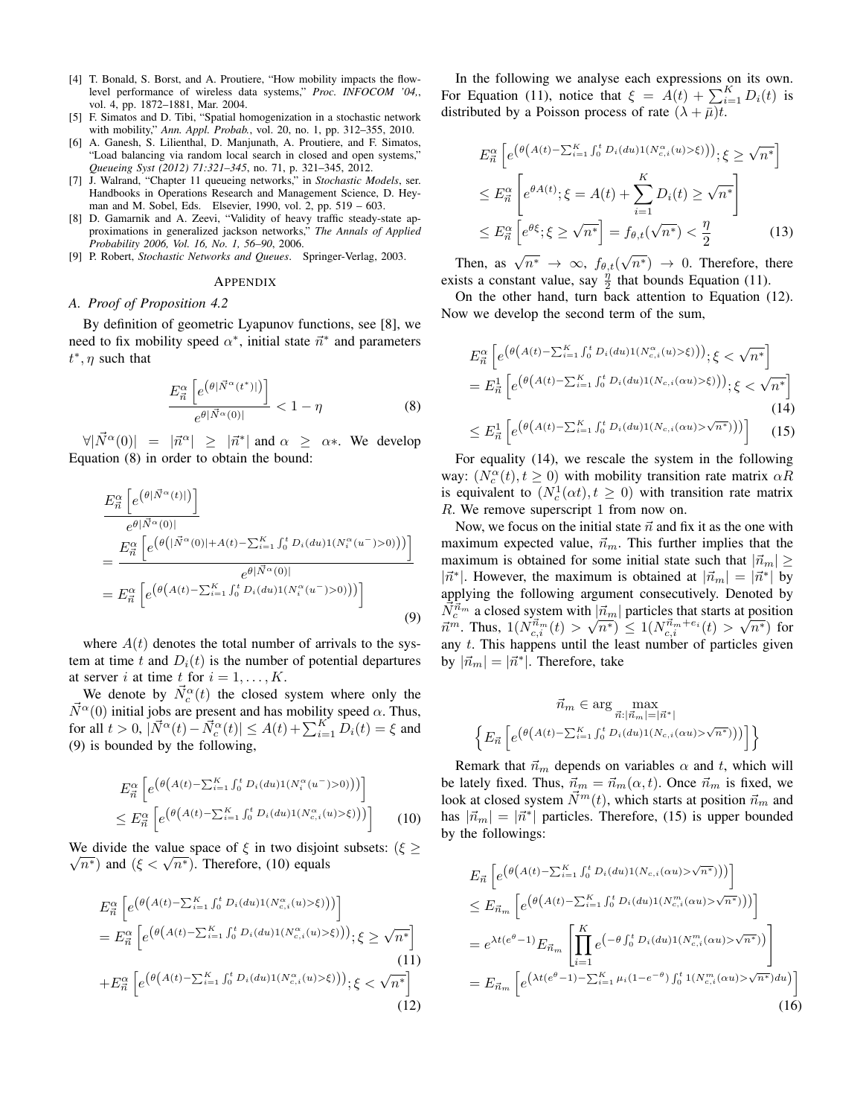- [4] T. Bonald, S. Borst, and A. Proutiere, "How mobility impacts the flowlevel performance of wireless data systems," *Proc. INFOCOM '04,*, vol. 4, pp. 1872–1881, Mar. 2004.
- [5] F. Simatos and D. Tibi, "Spatial homogenization in a stochastic network with mobility," *Ann. Appl. Probab.*, vol. 20, no. 1, pp. 312–355, 2010.
- [6] A. Ganesh, S. Lilienthal, D. Manjunath, A. Proutiere, and F. Simatos, "Load balancing via random local search in closed and open systems," *Queueing Syst (2012) 71:321–345*, no. 71, p. 321–345, 2012.
- [7] J. Walrand, "Chapter 11 queueing networks," in *Stochastic Models*, ser. Handbooks in Operations Research and Management Science, D. Heyman and M. Sobel, Eds. Elsevier, 1990, vol. 2, pp. 519 – 603.
- [8] D. Gamarnik and A. Zeevi, "Validity of heavy traffic steady-state approximations in generalized jackson networks," *The Annals of Applied Probability 2006, Vol. 16, No. 1, 56–90*, 2006.
- [9] P. Robert, *Stochastic Networks and Queues*. Springer-Verlag, 2003.

#### APPENDIX

#### *A. Proof of Proposition 4.2*

By definition of geometric Lyapunov functions, see [8], we need to fix mobility speed  $\alpha^*$ , initial state  $\vec{n}^*$  and parameters  $t^*$ ,  $\eta$  such that

$$
\frac{E_{\vec{n}}^{\alpha} \left[ e^{\left(\theta|\vec{N}^{\alpha}(t^{*})| \right)} \right]}{e^{\theta|\vec{N}^{\alpha}(0)|}} < 1 - \eta
$$
\n(8)

 $\forall |\vec{N}^{\alpha}(0)| = |\vec{n}^{\alpha}| \geq |\vec{n}^*|$  and  $\alpha \geq \alpha^*$ . We develop Equation (8) in order to obtain the bound:

$$
\frac{E_{\vec{n}}^{\alpha} \left[ e^{\left(\theta | \vec{N}^{\alpha}(t) | \right)} \right]}{e^{\theta | \vec{N}^{\alpha}(0) |}}
$$
\n
$$
= \frac{E_{\vec{n}}^{\alpha} \left[ e^{\left(\theta \left( |\vec{N}^{\alpha}(0)| + A(t) - \sum_{i=1}^{K} \int_{0}^{t} D_{i}(du) \mathbb{1}(N_{i}^{\alpha}(u^{-}) > 0) \right) \right)} \right]}{e^{\theta | \vec{N}^{\alpha}(0) |}}
$$
\n
$$
= E_{\vec{n}}^{\alpha} \left[ e^{\left(\theta \left( A(t) - \sum_{i=1}^{K} \int_{0}^{t} D_{i}(du) \mathbb{1}(N_{i}^{\alpha}(u^{-}) > 0) \right) \right)} \right]
$$
\n(9)

where  $A(t)$  denotes the total number of arrivals to the system at time t and  $D_i(t)$  is the number of potential departures at server i at time t for  $i = 1, \ldots, K$ .

We denote by  $\vec{N}_c^{\alpha}(t)$  the closed system where only the  $N^{\alpha}(0)$  initial jobs are present and has mobility speed  $\alpha$ . Thus, for all  $t > 0$ ,  $|\vec{N}^{\alpha}(t) - \vec{N}_{c}^{\alpha}(t)| \leq A(t) + \sum_{i=1}^{K} D_{i}(t) = \xi$  and (9) is bounded by the following,

$$
E_{\vec{n}}^{\alpha} \left[ e^{\left(\theta \left(A(t) - \sum_{i=1}^{K} \int_{0}^{t} D_{i}(du) \mathbb{1} \left(N_{i}^{\alpha}(u^{-}) > 0\right)\right)\right)} \right]
$$
  

$$
\leq E_{\vec{n}}^{\alpha} \left[ e^{\left(\theta \left(A(t) - \sum_{i=1}^{K} \int_{0}^{t} D_{i}(du) \mathbb{1} \left(N_{c,i}^{\alpha}(u) > \xi\right)\right)\right)} \right]
$$
(10)

We divide the value space of  $\xi$  in two disjoint subsets: ( $\xi \geq$ e divide the value space of  $\xi$  in two disjon<br>  $\overline{n^*}$ ) and  $(\xi < \sqrt{n^*})$ . Therefore, (10) equals

$$
E_{\vec{n}}^{\alpha} \left[ e^{\left(\theta \left(A(t) - \sum_{i=1}^{K} \int_{0}^{t} D_{i}(du) \mathbf{1} \left(N_{c,i}^{\alpha}(u) > \xi\right)\right)\right)} \right]
$$
\n
$$
= E_{\vec{n}}^{\alpha} \left[ e^{\left(\theta \left(A(t) - \sum_{i=1}^{K} \int_{0}^{t} D_{i}(du) \mathbf{1} \left(N_{c,i}^{\alpha}(u) > \xi\right)\right)\right)} ; \xi \geq \sqrt{n^{*}} \right]
$$
\n
$$
+ E_{\vec{n}}^{\alpha} \left[ e^{\left(\theta \left(A(t) - \sum_{i=1}^{K} \int_{0}^{t} D_{i}(du) \mathbf{1} \left(N_{c,i}^{\alpha}(u) > \xi\right)\right)\right)} ; \xi < \sqrt{n^{*}} \right]
$$
\n
$$
(12)
$$

In the following we analyse each expressions on its own. For Equation (11), notice that  $\xi = \hat{A}(t) + \sum_{i=1}^{K} D_i(t)$  is distributed by a Poisson process of rate  $(\lambda + \bar{\mu})t$ .

$$
E_{\vec{n}}^{\alpha} \left[ e^{\left(\theta \left(A(t) - \sum_{i=1}^{K} \int_{0}^{t} D_{i}(du) \mathbb{1} \left(N_{c,i}^{\alpha}(u) > \xi\right)\right)\right)}; \xi \geq \sqrt{n^{*}} \right]
$$
  
\n
$$
\leq E_{\vec{n}}^{\alpha} \left[ e^{\theta A(t)}; \xi = A(t) + \sum_{i=1}^{K} D_{i}(t) \geq \sqrt{n^{*}} \right]
$$
  
\n
$$
\leq E_{\vec{n}}^{\alpha} \left[ e^{\theta \xi}; \xi \geq \sqrt{n^{*}} \right] = f_{\theta,t}(\sqrt{n^{*}}) < \frac{\eta}{2}
$$
(13)

Then, as  $\sqrt{n^*} \rightarrow \infty$ ,  $f_{\theta,t}(\sqrt{n^*}) \rightarrow 0$ . Therefore, there exists a constant value, say  $\frac{\eta}{2}$  that bounds Equation (11).

On the other hand, turn back attention to Equation (12). Now we develop the second term of the sum,

$$
E_{\vec{n}}^{\alpha} \left[ e^{\left(\theta \left(A(t) - \sum_{i=1}^{K} \int_{0}^{t} D_{i}(du) 1(N_{c,i}^{\alpha}(u) > \xi) \right) \right)}; \xi < \sqrt{n^{*}} \right]
$$
  
\n
$$
= E_{\vec{n}}^1 \left[ e^{\left(\theta \left(A(t) - \sum_{i=1}^{K} \int_{0}^{t} D_{i}(du) 1(N_{c,i}(\alpha u) > \xi) \right) \right)}; \xi < \sqrt{n^{*}} \right]
$$
  
\n
$$
\leq E_{\vec{n}}^1 \left[ e^{\left(\theta \left(A(t) - \sum_{i=1}^{K} \int_{0}^{t} D_{i}(du) 1(N_{c,i}(\alpha u) > \sqrt{n^{*}}) \right) \right)} \right]
$$
(15)

For equality (14), we rescale the system in the following way:  $(N_c^{\alpha}(t), t \ge 0)$  with mobility transition rate matrix  $\alpha R$ is equivalent to  $(N_c^1(\alpha t), t \ge 0)$  with transition rate matrix R. We remove superscript 1 from now on.

Now, we focus on the initial state  $\vec{n}$  and fix it as the one with maximum expected value,  $\vec{n}_m$ . This further implies that the maximum is obtained for some initial state such that  $|\vec{n}_m| \ge$  $|\vec{n}^*|$ . However, the maximum is obtained at  $|\vec{n}_m| = |\vec{n}^*|$  by applying the following argument consecutively. Denoted by  $\vec{\mathcal{N}}_{c}^{\vec{n}_m}$  a closed system with  $|\vec{n}_m|$  particles that starts at position  $\overline{n}^m$ . Thus,  $1(N_{c,i}^{\vec{n}_m}(t) > \sqrt{n^*}) \leq 1(N_{c,i}^{\vec{n}_m+e_i}(t) > \sqrt{n^*})$  for any  $t$ . This happens until the least number of particles given by  $|\vec{n}_m| = |\vec{n}^*|$ . Therefore, take

$$
\vec{n}_m \in \arg\max_{\vec{n}: |\vec{n}_m| = |\vec{n}^*|}
$$
\n
$$
\left\{ E_{\vec{n}} \left[ e^{\left(\theta \left(A(t) - \sum_{i=1}^K \int_0^t D_i(du) \mathbf{1}(N_{c,i}(\alpha u) > \sqrt{n^*})\right)\right)} \right] \right\}
$$

Remark that  $\vec{n}_m$  depends on variables  $\alpha$  and t, which will be lately fixed. Thus,  $\vec{n}_m = \vec{n}_m(\alpha, t)$ . Once  $\vec{n}_m$  is fixed, we look at closed system  $\vec{N}^m(t)$ , which starts at position  $\vec{n}_m$  and has  $|\vec{n}_m| = |\vec{n}^*|$  particles. Therefore, (15) is upper bounded by the followings:

$$
E_{\vec{n}} \left[ e^{\left(\theta \left(A(t) - \sum_{i=1}^{K} \int_{0}^{t} D_{i}(du) \mathbb{1} \left(N_{c,i}(\alpha u) > \sqrt{n^{*}}\right)\right)\right)} \right]
$$
  
\n
$$
\leq E_{\vec{n}_m} \left[ e^{\left(\theta \left(A(t) - \sum_{i=1}^{K} \int_{0}^{t} D_{i}(du) \mathbb{1} \left(N_{c,i}^m(\alpha u) > \sqrt{n^{*}}\right)\right)\right)} \right]
$$
  
\n
$$
= e^{\lambda t (e^{\theta} - 1)} E_{\vec{n}_m} \left[ \prod_{i=1}^{K} e^{\left(-\theta \int_{0}^{t} D_{i}(du) \mathbb{1} \left(N_{c,i}^m(\alpha u) > \sqrt{n^{*}}\right)\right)} \right]
$$
  
\n
$$
= E_{\vec{n}_m} \left[ e^{\left(\lambda t (e^{\theta} - 1) - \sum_{i=1}^{K} \mu_i (1 - e^{-\theta}) \int_{0}^{t} \mathbb{1} \left(N_{c,i}^m(\alpha u) > \sqrt{n^{*}}\right) du\right)} \right]
$$
  
\n(16)